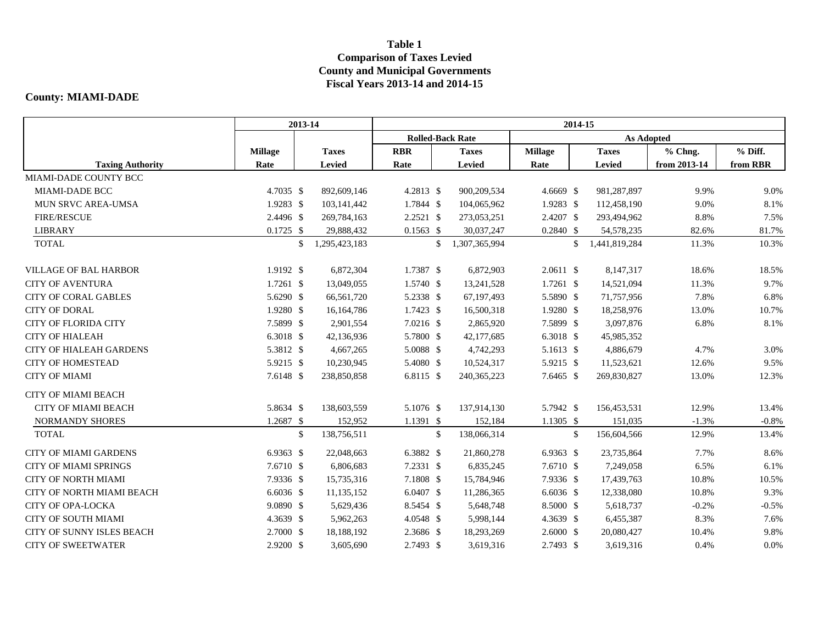## **Table 1 Comparison of Taxes Levied County and Municipal Governments Fiscal Years 2013-14 and 2014-15**

## **County: MIAMI-DADE**

|                                | 2013-14        |    | 2014-15       |                         |              |               |                      |              |               |              |          |  |
|--------------------------------|----------------|----|---------------|-------------------------|--------------|---------------|----------------------|--------------|---------------|--------------|----------|--|
|                                |                |    |               | <b>Rolled-Back Rate</b> |              |               |                      |              |               |              |          |  |
|                                | <b>Millage</b> |    | <b>Taxes</b>  | <b>RBR</b>              |              | <b>Taxes</b>  | <b>Millage</b>       |              | <b>Taxes</b>  | % Chng.      | % Diff.  |  |
| <b>Taxing Authority</b>        | Rate           |    | <b>Levied</b> | Rate                    |              | Levied        | Rate                 |              | Levied        | from 2013-14 | from RBR |  |
| MIAMI-DADE COUNTY BCC          |                |    |               |                         |              |               |                      |              |               |              |          |  |
| MIAMI-DADE BCC                 | 4.7035 \$      |    | 892,609,146   | 4.2813 \$               |              | 900,209,534   | $4.6669$ \$          |              | 981,287,897   | 9.9%         | 9.0%     |  |
| <b>MUN SRVC AREA-UMSA</b>      | $1.9283$ \$    |    | 103,141,442   | 1.7844 \$               |              | 104,065,962   | 1.9283 \$            |              | 112,458,190   | 9.0%         | 8.1%     |  |
| <b>FIRE/RESCUE</b>             | 2.4496 \$      |    | 269,784,163   | 2.2521 \$               |              | 273,053,251   | 2.4207 \$            |              | 293,494,962   | 8.8%         | 7.5%     |  |
| <b>LIBRARY</b>                 | $0.1725$ \$    |    | 29,888,432    | $0.1563$ \$             |              | 30,037,247    | $0.2840$ \$          |              | 54,578,235    | 82.6%        | 81.7%    |  |
| <b>TOTAL</b>                   |                | \$ | 1,295,423,183 |                         | \$           | 1,307,365,994 |                      | $\mathbb{S}$ | 1,441,819,284 | 11.3%        | 10.3%    |  |
| <b>VILLAGE OF BAL HARBOR</b>   | 1.9192 \$      |    | 6,872,304     | 1.7387 \$               |              | 6,872,903     | $2.0611$ \$          |              | 8,147,317     | 18.6%        | 18.5%    |  |
| <b>CITY OF AVENTURA</b>        | $1.7261$ \$    |    | 13,049,055    | 1.5740 \$               |              | 13,241,528    | $1.7261$ \$          |              | 14,521,094    | 11.3%        | 9.7%     |  |
| <b>CITY OF CORAL GABLES</b>    | 5.6290 \$      |    | 66,561,720    | 5.2338 \$               |              | 67,197,493    | 5.5890 \$            |              | 71,757,956    | 7.8%         | 6.8%     |  |
| <b>CITY OF DORAL</b>           | 1.9280 \$      |    | 16,164,786    | 1.7423 \$               |              | 16,500,318    | 1.9280 \$            |              | 18,258,976    | 13.0%        | 10.7%    |  |
| <b>CITY OF FLORIDA CITY</b>    | 7.5899 \$      |    | 2,901,554     | 7.0216 \$               |              | 2,865,920     | 7.5899 \$            |              | 3,097,876     | 6.8%         | 8.1%     |  |
| <b>CITY OF HIALEAH</b>         | 6.3018 \$      |    | 42,136,936    | 5.7800 \$               |              | 42,177,685    | 6.3018 \$            |              | 45,985,352    |              |          |  |
| <b>CITY OF HIALEAH GARDENS</b> | 5.3812 \$      |    | 4,667,265     | 5.0088 \$               |              | 4,742,293     | 5.1613 \$            |              | 4,886,679     | 4.7%         | 3.0%     |  |
| <b>CITY OF HOMESTEAD</b>       | 5.9215 \$      |    | 10,230,945    | 5.4080 \$               |              | 10,524,317    | 5.9215 \$            |              | 11,523,621    | 12.6%        | 9.5%     |  |
| <b>CITY OF MIAMI</b>           | 7.6148 \$      |    | 238,850,858   | 6.8115 \$               |              | 240, 365, 223 | 7.6465 \$            |              | 269,830,827   | 13.0%        | 12.3%    |  |
| <b>CITY OF MIAMI BEACH</b>     |                |    |               |                         |              |               |                      |              |               |              |          |  |
| <b>CITY OF MIAMI BEACH</b>     | 5.8634 \$      |    | 138,603,559   | 5.1076 \$               |              | 137,914,130   | 5.7942 \$            |              | 156,453,531   | 12.9%        | 13.4%    |  |
| NORMANDY SHORES                | 1.2687 \$      |    | 152,952       | 1.1391 \$               |              | 152,184       | $1.1305$ \$          |              | 151,035       | $-1.3%$      | $-0.8%$  |  |
| <b>TOTAL</b>                   |                | \$ | 138,756,511   |                         | $\mathbb{S}$ | 138,066,314   |                      | $\mathbb{S}$ | 156,604,566   | 12.9%        | 13.4%    |  |
| <b>CITY OF MIAMI GARDENS</b>   | 6.9363 \$      |    | 22,048,663    | 6.3882 \$               |              | 21,860,278    | 6.9363 $$$           |              | 23,735,864    | 7.7%         | 8.6%     |  |
| <b>CITY OF MIAMI SPRINGS</b>   | 7.6710 \$      |    | 6,806,683     | 7.2331 \$               |              | 6,835,245     | 7.6710 \$            |              | 7,249,058     | 6.5%         | 6.1%     |  |
| <b>CITY OF NORTH MIAMI</b>     | 7.9336 \$      |    | 15,735,316    | 7.1808 \$               |              | 15,784,946    | 7.9336 \$            |              | 17,439,763    | 10.8%        | 10.5%    |  |
| CITY OF NORTH MIAMI BEACH      | $6.6036$ \$    |    | 11,135,152    | 6.0407 \$               |              | 11,286,365    | $6.6036$ \$          |              | 12,338,080    | 10.8%        | 9.3%     |  |
| <b>CITY OF OPA-LOCKA</b>       | 9.0890 \$      |    | 5,629,436     | 8.5454 \$               |              | 5,648,748     | 8.5000 \$            |              | 5,618,737     | $-0.2%$      | $-0.5%$  |  |
| CITY OF SOUTH MIAMI            | 4.3639 \$      |    | 5,962,263     | 4.0548 \$               |              | 5,998,144     | 4.3639 \$            |              | 6,455,387     | 8.3%         | 7.6%     |  |
| CITY OF SUNNY ISLES BEACH      | 2.7000 \$      |    | 18,188,192    | 2.3686 \$               |              | 18,293,269    | $2.6000 \text{ }$ \$ |              | 20,080,427    | 10.4%        | 9.8%     |  |
| <b>CITY OF SWEETWATER</b>      | $2.9200$ \$    |    | 3,605,690     | 2.7493 \$               |              | 3,619,316     | 2.7493 \$            |              | 3,619,316     | 0.4%         | 0.0%     |  |